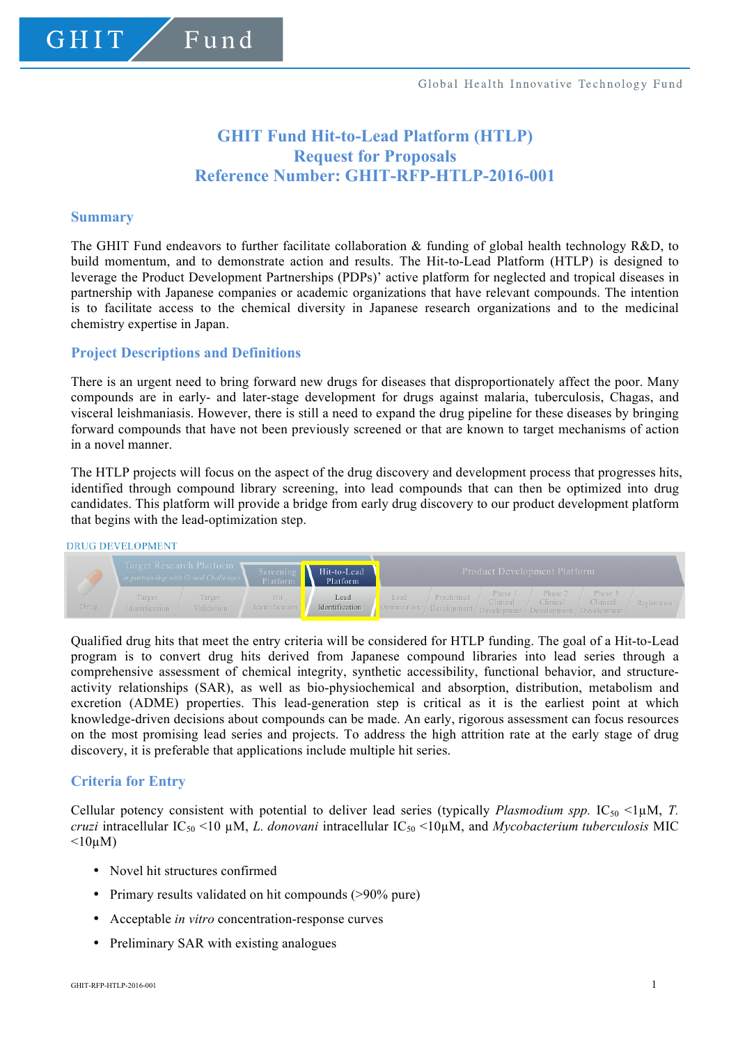## **GHIT Fund Hit-to-Lead Platform (HTLP) Request for Proposals Reference Number: GHIT-RFP-HTLP-2016-001**

### **Summary**

The GHIT Fund endeavors to further facilitate collaboration  $\&$  funding of global health technology R&D, to build momentum, and to demonstrate action and results. The Hit-to-Lead Platform (HTLP) is designed to leverage the Product Development Partnerships (PDPs)' active platform for neglected and tropical diseases in partnership with Japanese companies or academic organizations that have relevant compounds. The intention is to facilitate access to the chemical diversity in Japanese research organizations and to the medicinal chemistry expertise in Japan.

## **Project Descriptions and Definitions**

There is an urgent need to bring forward new drugs for diseases that disproportionately affect the poor. Many compounds are in early- and later-stage development for drugs against malaria, tuberculosis, Chagas, and visceral leishmaniasis. However, there is still a need to expand the drug pipeline for these diseases by bringing forward compounds that have not been previously screened or that are known to target mechanisms of action in a novel manner.

The HTLP projects will focus on the aspect of the drug discovery and development process that progresses hits, identified through compound library screening, into lead compounds that can then be optimized into drug candidates. This platform will provide a bridge from early drug discovery to our product development platform that begins with the lead-optimization step.

#### **DRUG DEVELOPMENT**



Qualified drug hits that meet the entry criteria will be considered for HTLP funding. The goal of a Hit-to-Lead program is to convert drug hits derived from Japanese compound libraries into lead series through a comprehensive assessment of chemical integrity, synthetic accessibility, functional behavior, and structureactivity relationships (SAR), as well as bio-physiochemical and absorption, distribution, metabolism and excretion (ADME) properties. This lead-generation step is critical as it is the earliest point at which knowledge-driven decisions about compounds can be made. An early, rigorous assessment can focus resources on the most promising lead series and projects. To address the high attrition rate at the early stage of drug discovery, it is preferable that applications include multiple hit series.

## **Criteria for Entry**

Cellular potency consistent with potential to deliver lead series (typically *Plasmodium spp.*  $IC_{50}$  <1µM, *T. cruzi* intracellular IC50 <10 µM, *L. donovani* intracellular IC50 <10µM, and *Mycobacterium tuberculosis* MIC  $\leq 10$ uM)

- Novel hit structures confirmed
- Primary results validated on hit compounds (>90% pure)
- Acceptable *in vitro* concentration-response curves
- Preliminary SAR with existing analogues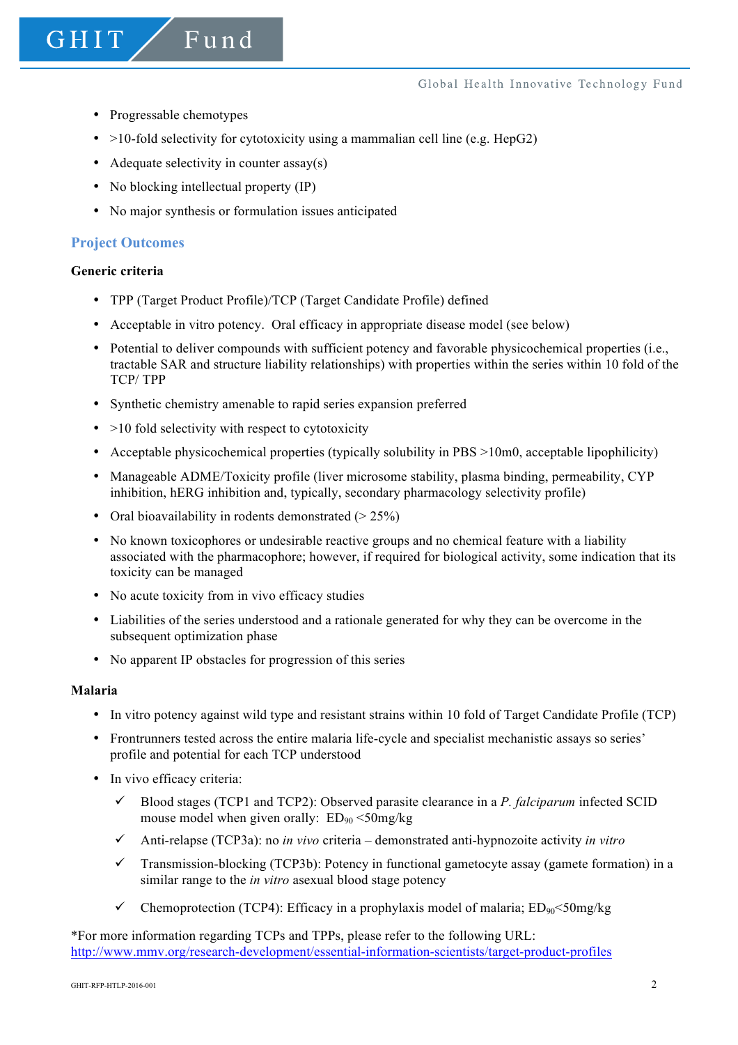- Progressable chemotypes
- $>10$ -fold selectivity for cytotoxicity using a mammalian cell line (e.g. HepG2)
- Adequate selectivity in counter assay(s)

Fund

- No blocking intellectual property (IP)
- No major synthesis or formulation issues anticipated

#### **Project Outcomes**

#### **Generic criteria**

**GHIT** 

- TPP (Target Product Profile)/TCP (Target Candidate Profile) defined
- Acceptable in vitro potency. Oral efficacy in appropriate disease model (see below)
- Potential to deliver compounds with sufficient potency and favorable physicochemical properties (i.e., tractable SAR and structure liability relationships) with properties within the series within 10 fold of the TCP/ TPP
- Synthetic chemistry amenable to rapid series expansion preferred
- $\bullet$  >10 fold selectivity with respect to cytotoxicity
- Acceptable physicochemical properties (typically solubility in PBS >10m0, acceptable lipophilicity)
- Manageable ADME/Toxicity profile (liver microsome stability, plasma binding, permeability, CYP inhibition, hERG inhibition and, typically, secondary pharmacology selectivity profile)
- Oral bioavailability in rodents demonstrated  $(> 25\%)$
- No known toxicophores or undesirable reactive groups and no chemical feature with a liability associated with the pharmacophore; however, if required for biological activity, some indication that its toxicity can be managed
- No acute toxicity from in vivo efficacy studies
- Liabilities of the series understood and a rationale generated for why they can be overcome in the subsequent optimization phase
- No apparent IP obstacles for progression of this series

#### **Malaria**

- In vitro potency against wild type and resistant strains within 10 fold of Target Candidate Profile (TCP)
- Frontrunners tested across the entire malaria life-cycle and specialist mechanistic assays so series' profile and potential for each TCP understood
- In vivo efficacy criteria:
	- $\checkmark$  Blood stages (TCP1 and TCP2): Observed parasite clearance in a *P. falciparum* infected SCID mouse model when given orally:  $ED_{90} < 50$ mg/kg
	- ü Anti-relapse (TCP3a): no *in vivo* criteria demonstrated anti-hypnozoite activity *in vitro*
	- $\checkmark$  Transmission-blocking (TCP3b): Potency in functional gametocyte assay (gamete formation) in a similar range to the *in vitro* asexual blood stage potency
	- Chemoprotection (TCP4): Efficacy in a prophylaxis model of malaria:  $ED_{90} \leq 50$ mg/kg

\*For more information regarding TCPs and TPPs, please refer to the following URL: http://www.mmv.org/research-development/essential-information-scientists/target-product-profiles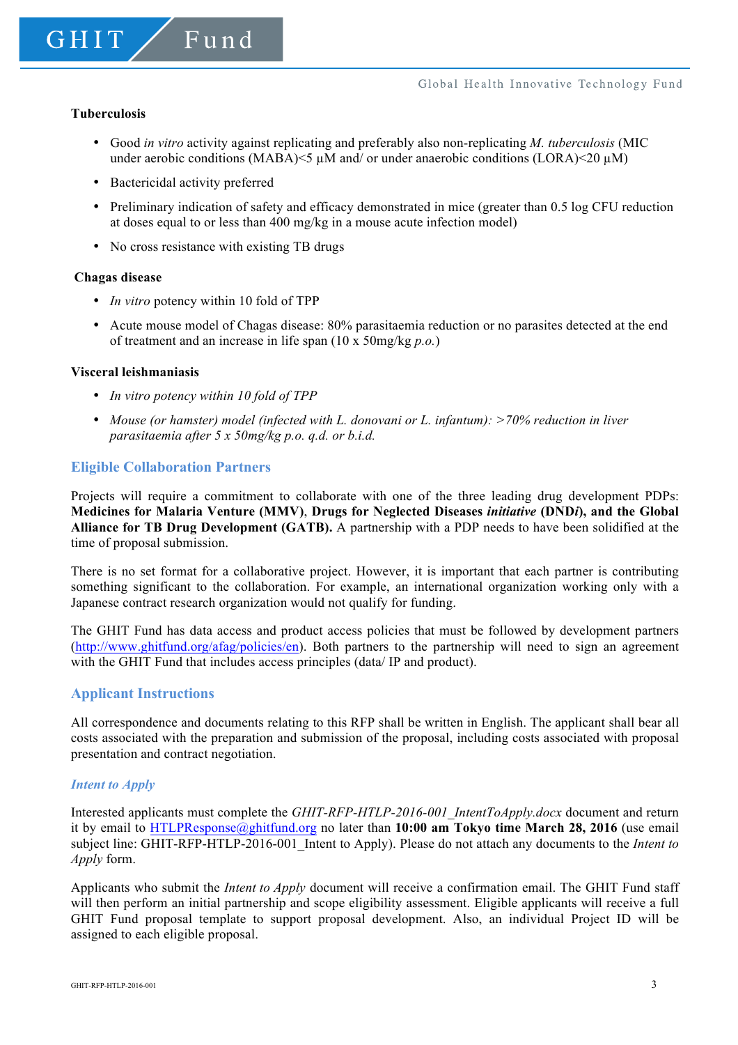#### **Tuberculosis**

- Good *in vitro* activity against replicating and preferably also non-replicating *M. tuberculosis* (MIC under aerobic conditions (MABA) $\leq$   $\mu$ M and/ or under anaerobic conditions (LORA) $\leq$ 20  $\mu$ M)
- Bactericidal activity preferred
- Preliminary indication of safety and efficacy demonstrated in mice (greater than 0.5 log CFU reduction at doses equal to or less than 400 mg/kg in a mouse acute infection model)
- No cross resistance with existing TB drugs

#### **Chagas disease**

- *In vitro* potency within 10 fold of TPP
- Acute mouse model of Chagas disease: 80% parasitaemia reduction or no parasites detected at the end of treatment and an increase in life span (10 x 50mg/kg *p.o.*)

#### **Visceral leishmaniasis**

- *In vitro potency within 10 fold of TPP*
- *Mouse (or hamster) model (infected with L. donovani or L. infantum): >70% reduction in liver parasitaemia after 5 x 50mg/kg p.o. q.d. or b.i.d.*

## **Eligible Collaboration Partners**

Projects will require a commitment to collaborate with one of the three leading drug development PDPs: **Medicines for Malaria Venture (MMV)**, **Drugs for Neglected Diseases** *initiative* **(DND***i***), and the Global Alliance for TB Drug Development (GATB).** A partnership with a PDP needs to have been solidified at the time of proposal submission.

There is no set format for a collaborative project. However, it is important that each partner is contributing something significant to the collaboration. For example, an international organization working only with a Japanese contract research organization would not qualify for funding.

The GHIT Fund has data access and product access policies that must be followed by development partners (http://www.ghitfund.org/afag/policies/en). Both partners to the partnership will need to sign an agreement with the GHIT Fund that includes access principles (data/ IP and product).

### **Applicant Instructions**

All correspondence and documents relating to this RFP shall be written in English. The applicant shall bear all costs associated with the preparation and submission of the proposal, including costs associated with proposal presentation and contract negotiation.

### *Intent to Apply*

Interested applicants must complete the *GHIT-RFP-HTLP-2016-001\_IntentToApply.docx* document and return it by email to HTLPResponse@ghitfund.org no later than **10:00 am Tokyo time March 28, 2016** (use email subject line: GHIT-RFP-HTLP-2016-001\_Intent to Apply). Please do not attach any documents to the *Intent to Apply* form.

Applicants who submit the *Intent to Apply* document will receive a confirmation email. The GHIT Fund staff will then perform an initial partnership and scope eligibility assessment. Eligible applicants will receive a full GHIT Fund proposal template to support proposal development. Also, an individual Project ID will be assigned to each eligible proposal.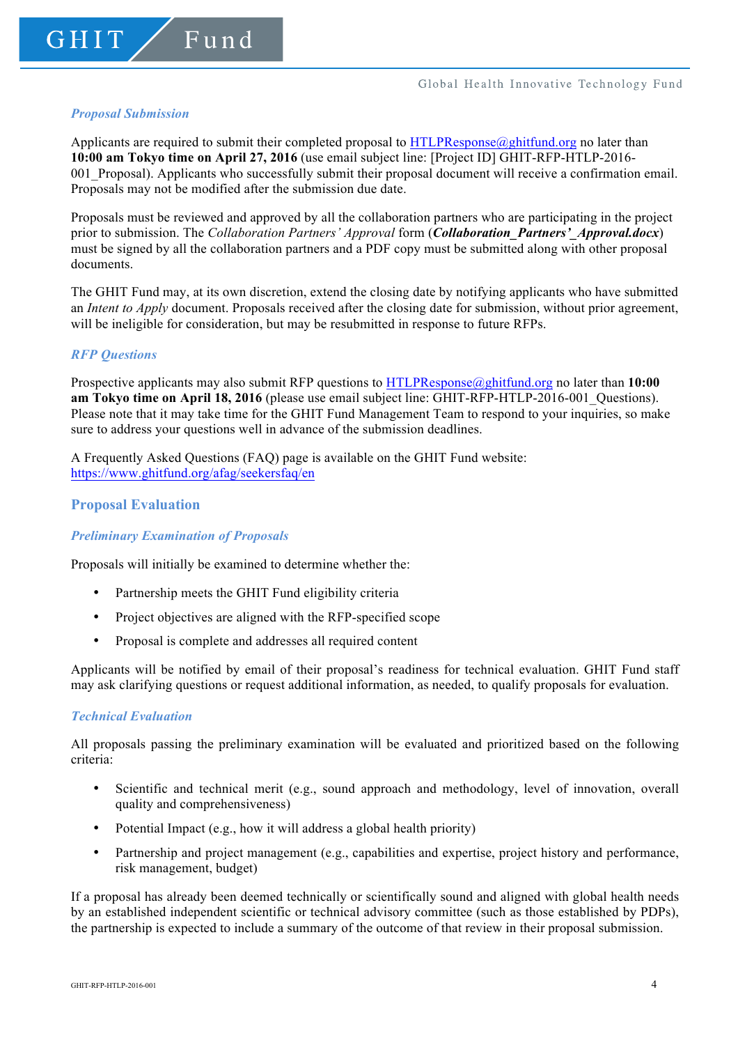#### *Proposal Submission*

Applicants are required to submit their completed proposal to  $HTLPResponse@ghitfund.org$  no later than **10:00 am Tokyo time on April 27, 2016** (use email subject line: [Project ID] GHIT-RFP-HTLP-2016- 001\_Proposal). Applicants who successfully submit their proposal document will receive a confirmation email. Proposals may not be modified after the submission due date.

Proposals must be reviewed and approved by all the collaboration partners who are participating in the project prior to submission. The *Collaboration Partners' Approval* form (*Collaboration\_Partners'\_Approval.docx*) must be signed by all the collaboration partners and a PDF copy must be submitted along with other proposal documents.

The GHIT Fund may, at its own discretion, extend the closing date by notifying applicants who have submitted an *Intent to Apply* document. Proposals received after the closing date for submission, without prior agreement, will be ineligible for consideration, but may be resubmitted in response to future RFPs.

### *RFP Questions*

Prospective applicants may also submit RFP questions to HTLPResponse@ghitfund.org no later than **10:00 am Tokyo time on April 18, 2016** (please use email subject line: GHIT-RFP-HTLP-2016-001 Questions). Please note that it may take time for the GHIT Fund Management Team to respond to your inquiries, so make sure to address your questions well in advance of the submission deadlines.

A Frequently Asked Questions (FAQ) page is available on the GHIT Fund website: https://www.ghitfund.org/afag/seekersfaq/en

## **Proposal Evaluation**

### *Preliminary Examination of Proposals*

Proposals will initially be examined to determine whether the:

- Partnership meets the GHIT Fund eligibility criteria
- Project objectives are aligned with the RFP-specified scope
- Proposal is complete and addresses all required content

Applicants will be notified by email of their proposal's readiness for technical evaluation. GHIT Fund staff may ask clarifying questions or request additional information, as needed, to qualify proposals for evaluation.

### *Technical Evaluation*

All proposals passing the preliminary examination will be evaluated and prioritized based on the following criteria:

- Scientific and technical merit (e.g., sound approach and methodology, level of innovation, overall quality and comprehensiveness)
- Potential Impact (e.g., how it will address a global health priority)
- Partnership and project management (e.g., capabilities and expertise, project history and performance, risk management, budget)

If a proposal has already been deemed technically or scientifically sound and aligned with global health needs by an established independent scientific or technical advisory committee (such as those established by PDPs), the partnership is expected to include a summary of the outcome of that review in their proposal submission.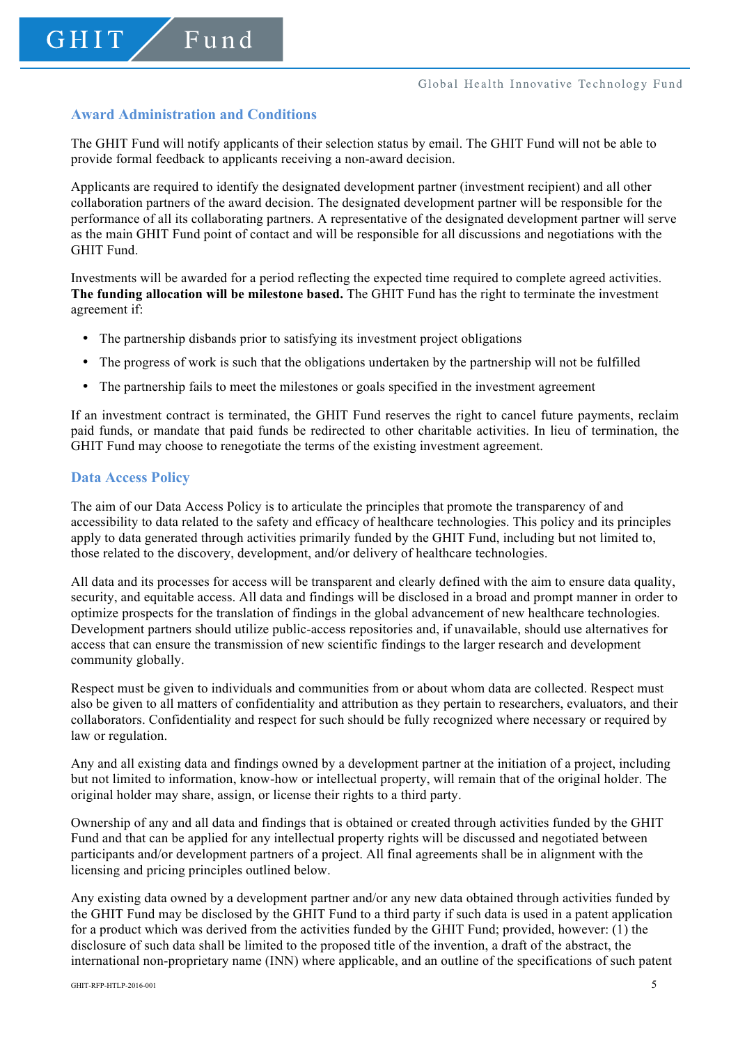## **Award Administration and Conditions**

The GHIT Fund will notify applicants of their selection status by email. The GHIT Fund will not be able to provide formal feedback to applicants receiving a non-award decision.

Applicants are required to identify the designated development partner (investment recipient) and all other collaboration partners of the award decision. The designated development partner will be responsible for the performance of all its collaborating partners. A representative of the designated development partner will serve as the main GHIT Fund point of contact and will be responsible for all discussions and negotiations with the GHIT Fund.

Investments will be awarded for a period reflecting the expected time required to complete agreed activities. **The funding allocation will be milestone based.** The GHIT Fund has the right to terminate the investment agreement if:

- The partnership disbands prior to satisfying its investment project obligations
- The progress of work is such that the obligations undertaken by the partnership will not be fulfilled
- The partnership fails to meet the milestones or goals specified in the investment agreement

If an investment contract is terminated, the GHIT Fund reserves the right to cancel future payments, reclaim paid funds, or mandate that paid funds be redirected to other charitable activities. In lieu of termination, the GHIT Fund may choose to renegotiate the terms of the existing investment agreement.

### **Data Access Policy**

The aim of our Data Access Policy is to articulate the principles that promote the transparency of and accessibility to data related to the safety and efficacy of healthcare technologies. This policy and its principles apply to data generated through activities primarily funded by the GHIT Fund, including but not limited to, those related to the discovery, development, and/or delivery of healthcare technologies.

All data and its processes for access will be transparent and clearly defined with the aim to ensure data quality, security, and equitable access. All data and findings will be disclosed in a broad and prompt manner in order to optimize prospects for the translation of findings in the global advancement of new healthcare technologies. Development partners should utilize public-access repositories and, if unavailable, should use alternatives for access that can ensure the transmission of new scientific findings to the larger research and development community globally.

Respect must be given to individuals and communities from or about whom data are collected. Respect must also be given to all matters of confidentiality and attribution as they pertain to researchers, evaluators, and their collaborators. Confidentiality and respect for such should be fully recognized where necessary or required by law or regulation.

Any and all existing data and findings owned by a development partner at the initiation of a project, including but not limited to information, know-how or intellectual property, will remain that of the original holder. The original holder may share, assign, or license their rights to a third party.

Ownership of any and all data and findings that is obtained or created through activities funded by the GHIT Fund and that can be applied for any intellectual property rights will be discussed and negotiated between participants and/or development partners of a project. All final agreements shall be in alignment with the licensing and pricing principles outlined below.

Any existing data owned by a development partner and/or any new data obtained through activities funded by the GHIT Fund may be disclosed by the GHIT Fund to a third party if such data is used in a patent application for a product which was derived from the activities funded by the GHIT Fund; provided, however:  $(1)$  the disclosure of such data shall be limited to the proposed title of the invention, a draft of the abstract, the international non-proprietary name (INN) where applicable, and an outline of the specifications of such patent